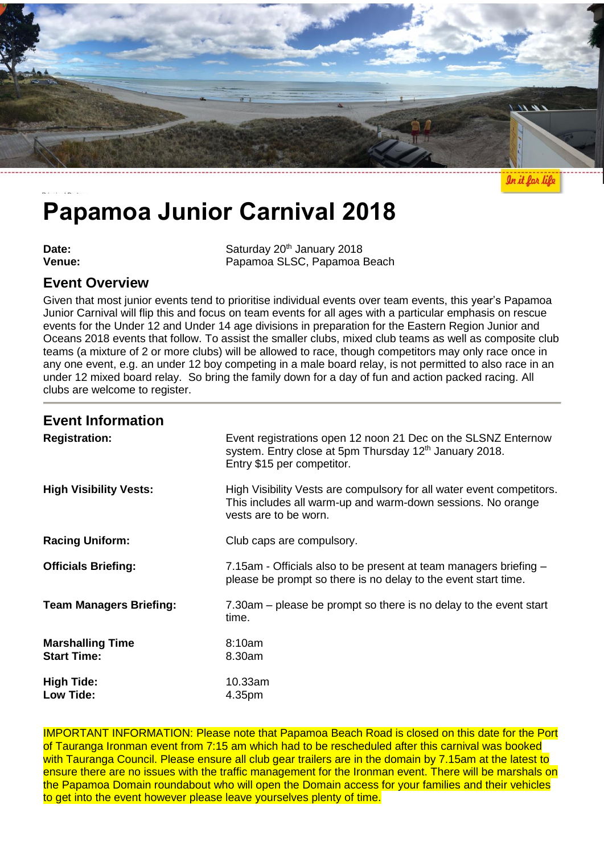

In it for life

# **Papamoa Junior Carnival 2018**

**Date:** Saturday 20<sup>th</sup> January 2018<br> **Venue:** Saturday 20<sup>th</sup> January 2018 Papamoa SLSC, Papamoa Beach

## **Event Overview**

Given that most junior events tend to prioritise individual events over team events, this year's Papamoa Junior Carnival will flip this and focus on team events for all ages with a particular emphasis on rescue events for the Under 12 and Under 14 age divisions in preparation for the Eastern Region Junior and Oceans 2018 events that follow. To assist the smaller clubs, mixed club teams as well as composite club teams (a mixture of 2 or more clubs) will be allowed to race, though competitors may only race once in any one event, e.g. an under 12 boy competing in a male board relay, is not permitted to also race in an under 12 mixed board relay. So bring the family down for a day of fun and action packed racing. All clubs are welcome to register.

## **Event Information**

| <b>Registration:</b>                          | Event registrations open 12 noon 21 Dec on the SLSNZ Enternow<br>system. Entry close at 5pm Thursday 12 <sup>th</sup> January 2018.<br>Entry \$15 per competitor. |  |
|-----------------------------------------------|-------------------------------------------------------------------------------------------------------------------------------------------------------------------|--|
| <b>High Visibility Vests:</b>                 | High Visibility Vests are compulsory for all water event competitors.<br>This includes all warm-up and warm-down sessions. No orange<br>vests are to be worn.     |  |
| <b>Racing Uniform:</b>                        | Club caps are compulsory.                                                                                                                                         |  |
| <b>Officials Briefing:</b>                    | 7.15am - Officials also to be present at team managers briefing –<br>please be prompt so there is no delay to the event start time.                               |  |
| <b>Team Managers Briefing:</b>                | 7.30am – please be prompt so there is no delay to the event start<br>time.                                                                                        |  |
| <b>Marshalling Time</b><br><b>Start Time:</b> | 8:10am<br>8.30am                                                                                                                                                  |  |
| <b>High Tide:</b><br>Low Tide:                | 10.33am<br>4.35pm                                                                                                                                                 |  |

IMPORTANT INFORMATION: Please note that Papamoa Beach Road is closed on this date for the Port of Tauranga Ironman event from 7:15 am which had to be rescheduled after this carnival was booked with Tauranga Council. Please ensure all club gear trailers are in the domain by 7.15am at the latest to ensure there are no issues with the traffic management for the Ironman event. There will be marshals on the Papamoa Domain roundabout who will open the Domain access for your families and their vehicles to get into the event however please leave yourselves plenty of time.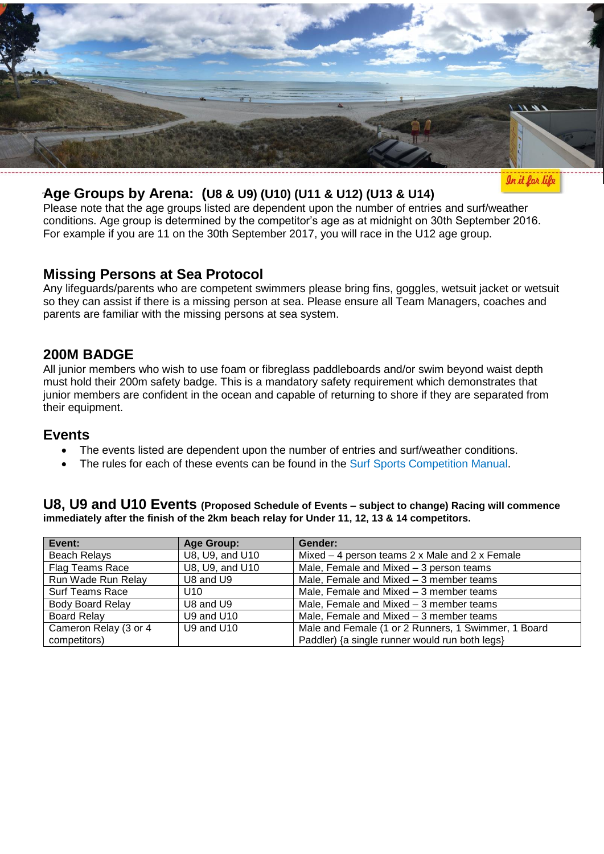

## **Age Groups by Arena: (U8 & U9) (U10) (U11 & U12) (U13 & U14)**

In it for life

Please note that the age groups listed are dependent upon the number of entries and surf/weather conditions. Age group is determined by the competitor's age as at midnight on 30th September 2016. For example if you are 11 on the 30th September 2017, you will race in the U12 age group.

### **Missing Persons at Sea Protocol**

Any lifeguards/parents who are competent swimmers please bring fins, goggles, wetsuit jacket or wetsuit so they can assist if there is a missing person at sea. Please ensure all Team Managers, coaches and parents are familiar with the missing persons at sea system.

## **200M BADGE**

All junior members who wish to use foam or fibreglass paddleboards and/or swim beyond waist depth must hold their 200m safety badge. This is a mandatory safety requirement which demonstrates that junior members are confident in the ocean and capable of returning to shore if they are separated from their equipment.

## **Events**

- The events listed are dependent upon the number of entries and surf/weather conditions.
- The rules for each of these events can be found in the [Surf Sports Competition](http://www.surflifesaving.org.nz/sport/about-us/surf-sport-manual/) Manual.

**U8, U9 and U10 Events (Proposed Schedule of Events – subject to change) Racing will commence immediately after the finish of the 2km beach relay for Under 11, 12, 13 & 14 competitors.**

| Event:                  | Age Group:                                           | Gender:                                             |  |
|-------------------------|------------------------------------------------------|-----------------------------------------------------|--|
| <b>Beach Relays</b>     | U8, U9, and U10                                      | Mixed $-$ 4 person teams 2 x Male and 2 x Female    |  |
| Flag Teams Race         | U8, U9, and U10                                      | Male, Female and Mixed - 3 person teams             |  |
| Run Wade Run Relay      | Male, Female and Mixed - 3 member teams<br>U8 and U9 |                                                     |  |
| <b>Surf Teams Race</b>  | U <sub>10</sub>                                      | Male, Female and Mixed - 3 member teams             |  |
| <b>Body Board Relay</b> | U8 and U9                                            | Male, Female and Mixed - 3 member teams             |  |
| <b>Board Relay</b>      | U9 and U10                                           | Male, Female and Mixed - 3 member teams             |  |
| Cameron Relay (3 or 4   | U9 and U10                                           | Male and Female (1 or 2 Runners, 1 Swimmer, 1 Board |  |
| competitors)            |                                                      | Paddler) {a single runner would run both legs}      |  |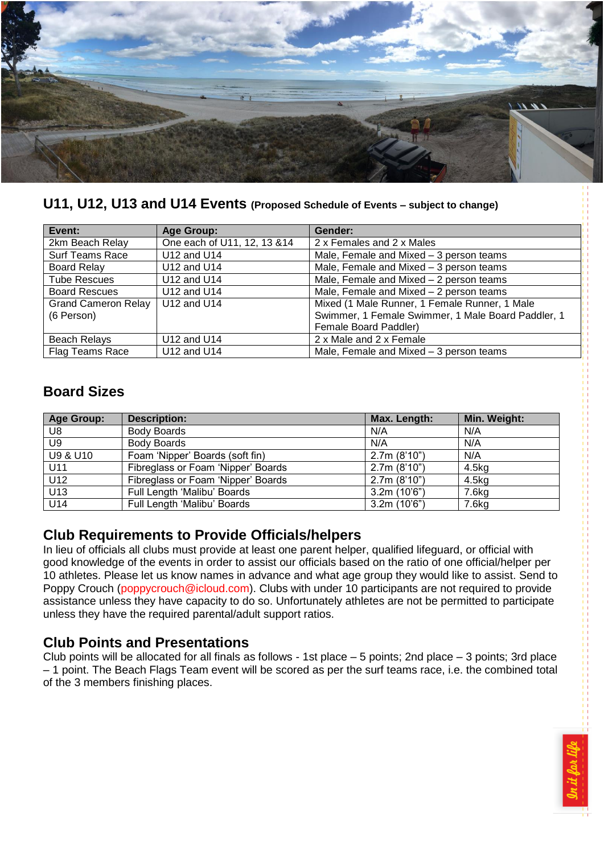

**U11, U12, U13 and U14 Events (Proposed Schedule of Events – subject to change)**

| Event:                     | <b>Age Group:</b>            | Gender:                                            |  |
|----------------------------|------------------------------|----------------------------------------------------|--|
| 2km Beach Relay            | One each of U11, 12, 13 & 14 | 2 x Females and 2 x Males                          |  |
| <b>Surf Teams Race</b>     | U12 and U14                  | Male, Female and Mixed - 3 person teams            |  |
| <b>Board Relay</b>         | U12 and U14                  | Male, Female and Mixed - 3 person teams            |  |
| <b>Tube Rescues</b>        | U12 and U14                  | Male, Female and Mixed - 2 person teams            |  |
| <b>Board Rescues</b>       | U12 and U14                  | Male, Female and Mixed - 2 person teams            |  |
| <b>Grand Cameron Relay</b> | U12 and U14                  | Mixed (1 Male Runner, 1 Female Runner, 1 Male      |  |
| (6 Person)                 |                              | Swimmer, 1 Female Swimmer, 1 Male Board Paddler, 1 |  |
|                            |                              | Female Board Paddler)                              |  |
| Beach Relays               | U12 and U14                  | 2 x Male and 2 x Female                            |  |
| <b>Flag Teams Race</b>     | U12 and U14                  | Male, Female and Mixed - 3 person teams            |  |

# **Board Sizes**

| <b>Age Group:</b> | <b>Description:</b>                | Max. Length: | Min. Weight: |
|-------------------|------------------------------------|--------------|--------------|
| U8                | <b>Body Boards</b>                 | N/A          | N/A          |
| U9                | <b>Body Boards</b>                 | N/A          | N/A          |
| U9 & U10          | Foam 'Nipper' Boards (soft fin)    | 2.7m(8'10")  | N/A          |
| U11               | Fibreglass or Foam 'Nipper' Boards | 2.7m(8'10")  | 4.5kg        |
| U12               | Fibreglass or Foam 'Nipper' Boards | 2.7m(8'10")  | 4.5kg        |
| U <sub>13</sub>   | Full Length 'Malibu' Boards        | 3.2m(10'6")  | 7.6kg        |
| U14               | Full Length 'Malibu' Boards        | 3.2m(10'6")  | 7.6kg        |

## **Club Requirements to Provide Officials/helpers**

In lieu of officials all clubs must provide at least one parent helper, qualified lifeguard, or official with good knowledge of the events in order to assist our officials based on the ratio of one official/helper per 10 athletes. Please let us know names in advance and what age group they would like to assist. Send to Poppy Crouch [\(poppycrouch@icloud.com\)](mailto:poppycrouch@icloud.com). Clubs with under 10 participants are not required to provide assistance unless they have capacity to do so. Unfortunately athletes are not be permitted to participate unless they have the required parental/adult support ratios.

## **Club Points and Presentations**

Club points will be allocated for all finals as follows - 1st place – 5 points; 2nd place – 3 points; 3rd place – 1 point. The Beach Flags Team event will be scored as per the surf teams race, i.e. the combined total of the 3 members finishing places.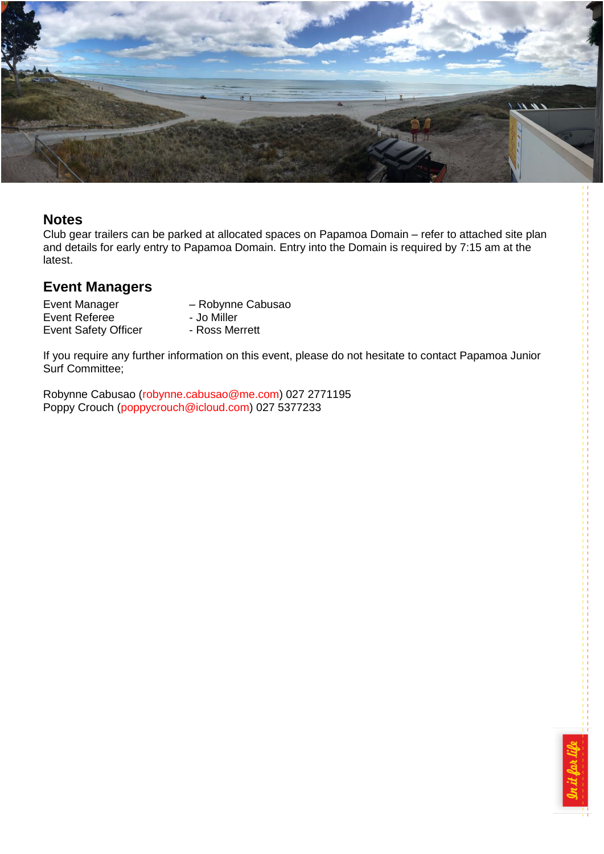

#### **Notes**

Club gear trailers can be parked at allocated spaces on Papamoa Domain – refer to attached site plan and details for early entry to Papamoa Domain. Entry into the Domain is required by 7:15 am at the latest.

## **Event Managers**

Event Manager – Robynne Cabusao<br>
Event Referee – Jo Miller Event Referee - Jo Miller Event Safety Officer

If you require any further information on this event, please do not hesitate to contact Papamoa Junior Surf Committee;

Robynne Cabusao [\(robynne.cabusao@me.com\)](mailto:robynne.cabusao@me.com) 027 2771195 Poppy Crouch [\(poppycrouch@icloud.com\)](mailto:poppycrouch@icloud.com) 027 5377233